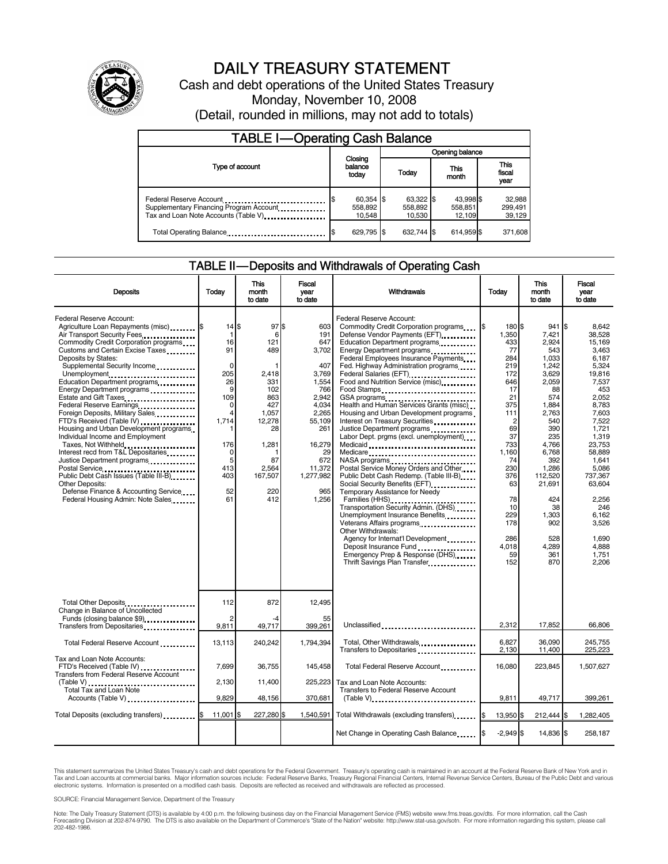

# DAILY TREASURY STATEMENT

Cash and debt operations of the United States Treasury Monday, November 10, 2008 (Detail, rounded in millions, may not add to totals)

| <b>TABLE I-Operating Cash Balance</b>                                                                      |                                  |  |                                |               |                     |                               |  |
|------------------------------------------------------------------------------------------------------------|----------------------------------|--|--------------------------------|---------------|---------------------|-------------------------------|--|
|                                                                                                            | Closing<br>balance<br>todav      |  | Opening balance                |               |                     |                               |  |
| Type of account                                                                                            |                                  |  | Today                          | This<br>month |                     | <b>This</b><br>fiscal<br>year |  |
| Federal Reserve Account<br>Supplementary Financing Program Account<br>Tax and Loan Note Accounts (Table V) | $60,354$ \$<br>558,892<br>10.548 |  | 63,322 \$<br>558,892<br>10.530 | 558,851       | 43,998 \$<br>12,109 | 32,988<br>299,491<br>39,129   |  |
| Total Operating Balance                                                                                    | 629.795 \$                       |  | 632.744 \$                     | 614.959 \$    |                     | 371,608                       |  |

#### TABLE II — Deposits and Withdrawals of Operating Cash

|                                                                                                                                                                                                                                                                                                                                                                                                                                                                                                                                                                                                                                                                                                                                                                     |                                                                                                                                 | <b>This</b>                                                                                                                          | Fiscal                                                                                                                                                                      |                                                                                                                                                                                                                                                                                                                                                                                                                                                                                                                                                                                                                                                                                                                                                                                                                                                                                                                                                                                                                                                                                                                                                                                  |                                                                                                                                                                                                                   | <b>This</b>                                                                                                                                                                                                                             | Fiscal                                                                                                                                                                                                                                                                |  |
|---------------------------------------------------------------------------------------------------------------------------------------------------------------------------------------------------------------------------------------------------------------------------------------------------------------------------------------------------------------------------------------------------------------------------------------------------------------------------------------------------------------------------------------------------------------------------------------------------------------------------------------------------------------------------------------------------------------------------------------------------------------------|---------------------------------------------------------------------------------------------------------------------------------|--------------------------------------------------------------------------------------------------------------------------------------|-----------------------------------------------------------------------------------------------------------------------------------------------------------------------------|----------------------------------------------------------------------------------------------------------------------------------------------------------------------------------------------------------------------------------------------------------------------------------------------------------------------------------------------------------------------------------------------------------------------------------------------------------------------------------------------------------------------------------------------------------------------------------------------------------------------------------------------------------------------------------------------------------------------------------------------------------------------------------------------------------------------------------------------------------------------------------------------------------------------------------------------------------------------------------------------------------------------------------------------------------------------------------------------------------------------------------------------------------------------------------|-------------------------------------------------------------------------------------------------------------------------------------------------------------------------------------------------------------------|-----------------------------------------------------------------------------------------------------------------------------------------------------------------------------------------------------------------------------------------|-----------------------------------------------------------------------------------------------------------------------------------------------------------------------------------------------------------------------------------------------------------------------|--|
| <b>Deposits</b>                                                                                                                                                                                                                                                                                                                                                                                                                                                                                                                                                                                                                                                                                                                                                     | Todav                                                                                                                           | month<br>to date                                                                                                                     | vear<br>to date                                                                                                                                                             | Withdrawals                                                                                                                                                                                                                                                                                                                                                                                                                                                                                                                                                                                                                                                                                                                                                                                                                                                                                                                                                                                                                                                                                                                                                                      | Today                                                                                                                                                                                                             | month<br>to date                                                                                                                                                                                                                        | vear<br>to date                                                                                                                                                                                                                                                       |  |
| Federal Reserve Account:<br>Agriculture Loan Repayments (misc) [\$<br>Air Transport Security Fees<br>Commodity Credit Corporation programs<br>Customs and Certain Excise Taxes<br>Deposits by States:<br>Supplemental Security Income<br>Unemployment<br>Education Department programs<br>Energy Department programs<br>Estate and Gift Taxes<br><br>Federal Reserve Earnings.<br>Foreign Deposits, Military Sales<br>FTD's Received (Table IV)<br>Housing and Urban Development programs<br>Individual Income and Employment<br>Taxes, Not Withheld<br>Interest recd from T&L Depositaries<br>Justice Department programs<br>Public Debt Cash Issues (Table III-B)<br>Other Deposits:<br>Defense Finance & Accounting Service<br>Federal Housing Admin: Note Sales | $14$ $$$<br>1<br>16<br>91<br>$\mathbf 0$<br>205<br>26<br>9<br>109<br>0<br>4<br>1,714<br>176<br>0<br>5<br>413<br>403<br>52<br>61 | 97<br>6<br>121<br>489<br>2.418<br>331<br>102<br>863<br>427<br>1,057<br>12,278<br>28<br>1,281<br>87<br>2,564<br>167,507<br>220<br>412 | l\$<br>603<br>191<br>647<br>3.702<br>407<br>3,769<br>1,554<br>766<br>2.942<br>4,034<br>2,265<br>55,109<br>261<br>16,279<br>29<br>672<br>11,372<br>1,277,982<br>965<br>1,256 | Federal Reserve Account:<br>Commodity Credit Corporation programs<br>Defense Vendor Payments (EFT)<br>Education Department programs<br>Energy Department programs<br>Federal Employees Insurance Payments<br>Fed. Highway Administration programs<br>Federal Salaries (EFT)<br>1991 - Production Contract Contract Contract Contract Contract Contract Contract Contract Contract Contract Contract Contract Contract Contract Contract Contract Contract Contract Contract Contract<br>Food and Nutrition Service (misc)<br>Food Stamps<br>GSA programs<br>Health and Human Services Grants (misc)<br>Housing and Urban Development programs<br>Interest on Treasury Securities<br>Labor Dept. prgms (excl. unemployment)<br>Medicaid<br>Medicare<br>NASA programs<br>Postal Service Money Orders and Other<br>Public Debt Cash Redemp. (Table III-B)<br>Social Security Benefits (EFT)<br>Temporary Assistance for Needy<br>Families (HHS)<br>Transportation Security Admin. (DHS)<br>Unemployment Insurance Benefits<br>Other Withdrawals:<br>Agency for Internat'l Development.<br>Deposit Insurance Fund<br>Emergency Prep & Response (DHS)<br>Thrift Savings Plan Transfer | 180 \$<br>1,350<br>433<br>77<br>284<br>219<br>172<br>646<br>17<br>21<br>375<br>111<br>$\overline{c}$<br>69<br>37<br>733<br>1.160<br>74<br>230<br>376<br>63<br>78<br>10<br>229<br>178<br>286<br>4.018<br>59<br>152 | 941S<br>7,421<br>2.924<br>543<br>1,033<br>1,242<br>3.629<br>2,059<br>88<br>574<br>1,884<br>2,763<br>540<br>390<br>235<br>4,766<br>6.768<br>392<br>1,286<br>112,520<br>21,691<br>424<br>38<br>1,303<br>902<br>528<br>4,289<br>361<br>870 | 8,642<br>38.528<br>15.169<br>3.463<br>6.187<br>5.324<br>19.816<br>7,537<br>453<br>2.052<br>8,783<br>7.603<br>7.522<br>1,721<br>1.319<br>23.753<br>58.889<br>1,641<br>5.086<br>737.367<br>63,604<br>2.256<br>246<br>6,162<br>3,526<br>1.690<br>4.888<br>1,751<br>2,206 |  |
| Total Other Deposits<br>Change in Balance of Uncollected                                                                                                                                                                                                                                                                                                                                                                                                                                                                                                                                                                                                                                                                                                            | 112                                                                                                                             | 872                                                                                                                                  | 12.495                                                                                                                                                                      |                                                                                                                                                                                                                                                                                                                                                                                                                                                                                                                                                                                                                                                                                                                                                                                                                                                                                                                                                                                                                                                                                                                                                                                  |                                                                                                                                                                                                                   |                                                                                                                                                                                                                                         |                                                                                                                                                                                                                                                                       |  |
| Funds (closing balance \$9)<br>Transfers from Depositaries                                                                                                                                                                                                                                                                                                                                                                                                                                                                                                                                                                                                                                                                                                          | 2<br>9,811                                                                                                                      | 49,717                                                                                                                               | 55<br>399,261                                                                                                                                                               | Unclassified                                                                                                                                                                                                                                                                                                                                                                                                                                                                                                                                                                                                                                                                                                                                                                                                                                                                                                                                                                                                                                                                                                                                                                     | 2,312                                                                                                                                                                                                             | 17,852                                                                                                                                                                                                                                  | 66,806                                                                                                                                                                                                                                                                |  |
| Total Federal Reserve Account                                                                                                                                                                                                                                                                                                                                                                                                                                                                                                                                                                                                                                                                                                                                       | 13,113                                                                                                                          | 240,242                                                                                                                              | 1,794,394                                                                                                                                                                   | Total, Other Withdrawals<br>Transfers to Depositaries                                                                                                                                                                                                                                                                                                                                                                                                                                                                                                                                                                                                                                                                                                                                                                                                                                                                                                                                                                                                                                                                                                                            | 6,827<br>2,130                                                                                                                                                                                                    | 36,090<br>11,400                                                                                                                                                                                                                        | 245,755<br>225,223                                                                                                                                                                                                                                                    |  |
| Tax and Loan Note Accounts:<br>FTD's Received (Table IV)<br>Transfers from Federal Reserve Account                                                                                                                                                                                                                                                                                                                                                                                                                                                                                                                                                                                                                                                                  | 7.699                                                                                                                           | 36,755                                                                                                                               | 145,458                                                                                                                                                                     | Total Federal Reserve Account                                                                                                                                                                                                                                                                                                                                                                                                                                                                                                                                                                                                                                                                                                                                                                                                                                                                                                                                                                                                                                                                                                                                                    | 16,080                                                                                                                                                                                                            | 223,845                                                                                                                                                                                                                                 | 1,507,627                                                                                                                                                                                                                                                             |  |
| $(Table V)$<br>Total Tax and Loan Note                                                                                                                                                                                                                                                                                                                                                                                                                                                                                                                                                                                                                                                                                                                              | 2,130                                                                                                                           | 11,400                                                                                                                               | 225,223                                                                                                                                                                     | Tax and Loan Note Accounts:<br>Transfers to Federal Reserve Account                                                                                                                                                                                                                                                                                                                                                                                                                                                                                                                                                                                                                                                                                                                                                                                                                                                                                                                                                                                                                                                                                                              |                                                                                                                                                                                                                   |                                                                                                                                                                                                                                         |                                                                                                                                                                                                                                                                       |  |
| Accounts (Table V)                                                                                                                                                                                                                                                                                                                                                                                                                                                                                                                                                                                                                                                                                                                                                  | 9.829                                                                                                                           | 48,156                                                                                                                               | 370,681                                                                                                                                                                     | $(Table V)$                                                                                                                                                                                                                                                                                                                                                                                                                                                                                                                                                                                                                                                                                                                                                                                                                                                                                                                                                                                                                                                                                                                                                                      | 9,811                                                                                                                                                                                                             | 49,717                                                                                                                                                                                                                                  | 399,261                                                                                                                                                                                                                                                               |  |
| Total Deposits (excluding transfers) [\$                                                                                                                                                                                                                                                                                                                                                                                                                                                                                                                                                                                                                                                                                                                            | 11,001                                                                                                                          | 227,280                                                                                                                              | 1,540,591                                                                                                                                                                   | Total Withdrawals (excluding transfers)                                                                                                                                                                                                                                                                                                                                                                                                                                                                                                                                                                                                                                                                                                                                                                                                                                                                                                                                                                                                                                                                                                                                          | 13,950 \$                                                                                                                                                                                                         | 212,444 \$                                                                                                                                                                                                                              | 1,282,405                                                                                                                                                                                                                                                             |  |
|                                                                                                                                                                                                                                                                                                                                                                                                                                                                                                                                                                                                                                                                                                                                                                     |                                                                                                                                 |                                                                                                                                      |                                                                                                                                                                             | Net Change in Operating Cash Balance                                                                                                                                                                                                                                                                                                                                                                                                                                                                                                                                                                                                                                                                                                                                                                                                                                                                                                                                                                                                                                                                                                                                             | $-2,949$ \$                                                                                                                                                                                                       | 14,836 \$                                                                                                                                                                                                                               | 258,187                                                                                                                                                                                                                                                               |  |

This statement summarizes the United States Treasury's cash and debt operations for the Federal Government. Treasury's operating cash is maintained in an account at the Federal Reserve Bank of New York and in<br>Tax and Loan

SOURCE: Financial Management Service, Department of the Treasury

Note: The Daily Treasury Statement (DTS) is available by 4:00 p.m. the following business day on the Financial Management Service (FMS) website www.fms.treas.gov/dts. For more information, call the Cash<br>Forecasting Divisio